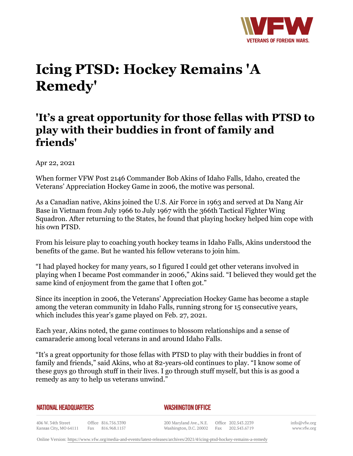

## **Icing PTSD: Hockey Remains 'A Remedy'**

## **'It's a great opportunity for those fellas with PTSD to play with their buddies in front of family and friends'**

Apr 22, 2021

When former VFW Post 2146 Commander Bob Akins of Idaho Falls, Idaho, created the Veterans' Appreciation Hockey Game in 2006, the motive was personal.

As a Canadian native, Akins joined the U.S. Air Force in 1963 and served at Da Nang Air Base in Vietnam from July 1966 to July 1967 with the 366th Tactical Fighter Wing Squadron. After returning to the States, he found that playing hockey helped him cope with his own PTSD.

From his leisure play to coaching youth hockey teams in Idaho Falls, Akins understood the benefits of the game. But he wanted his fellow veterans to join him.

"I had played hockey for many years, so I figured I could get other veterans involved in playing when I became Post commander in 2006," Akins said. "I believed they would get the same kind of enjoyment from the game that I often got."

Since its inception in 2006, the Veterans' Appreciation Hockey Game has become a staple among the veteran community in Idaho Falls, running strong for 15 consecutive years, which includes this year's game played on Feb. 27, 2021.

Each year, Akins noted, the game continues to blossom relationships and a sense of camaraderie among local veterans in and around Idaho Falls.

"It's a great opportunity for those fellas with PTSD to play with their buddies in front of family and friends," said Akins, who at 82-years-old continues to play. "I know some of these guys go through stuff in their lives. I go through stuff myself, but this is as good a remedy as any to help us veterans unwind."

|  | NATIONAL HEADQUARTERS |
|--|-----------------------|
|  |                       |

*WASHINGTON OFFICE* 

406 W. 34th Street Office 816.756.3390 Fax 816.968.1157 Kansas City, MO 64111

200 Maryland Ave., N.E. Washington, D.C. 20002

Office 202.543.2239 Fax 202.543.6719 info@vfw.org www.vfw.org

Online Version:<https://www.vfw.org/media-and-events/latest-releases/archives/2021/4/icing-ptsd-hockey-remains-a-remedy>